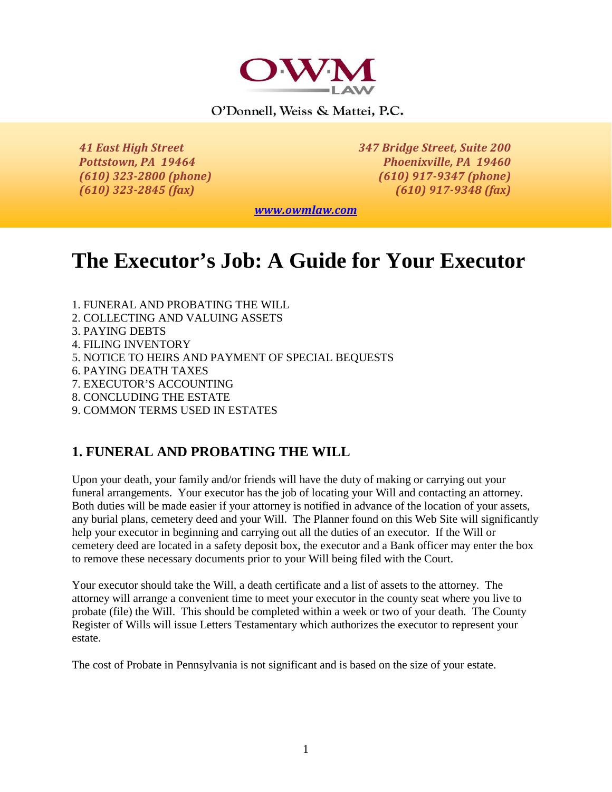

O'Donnell, Weiss & Mattei, P.C.

*41 East High Street 347 Bridge Street, Suite 200 Pottstown, PA 19464 Phoenixville, PA 19460 (610) 323-2800 (phone) (610) 917-9347 (phone) (610) 323-2845 (fax) (610) 917-9348 (fax)*

*[www.owmlaw.com](http://www.owmlaw.com/)*

# **The Executor's Job: A Guide for Your Executor**

- 1. FUNERAL AND PROBATING THE WILL
- 2. COLLECTING AND VALUING ASSETS
- 3. PAYING DEBTS
- 4. FILING INVENTORY
- 5. NOTICE TO HEIRS AND PAYMENT OF SPECIAL BEQUESTS
- 6. PAYING DEATH TAXES
- 7. EXECUTOR'S ACCOUNTING
- 8. CONCLUDING THE ESTATE
- 9. COMMON TERMS USED IN ESTATES

#### **1. FUNERAL AND PROBATING THE WILL**

Upon your death, your family and/or friends will have the duty of making or carrying out your funeral arrangements. Your executor has the job of locating your Will and contacting an attorney. Both duties will be made easier if your attorney is notified in advance of the location of your assets, any burial plans, cemetery deed and your Will. The Planner found on this Web Site will significantly help your executor in beginning and carrying out all the duties of an executor. If the Will or cemetery deed are located in a safety deposit box, the executor and a Bank officer may enter the box to remove these necessary documents prior to your Will being filed with the Court.

Your executor should take the Will, a death certificate and a list of assets to the attorney. The attorney will arrange a convenient time to meet your executor in the county seat where you live to probate (file) the Will. This should be completed within a week or two of your death. The County Register of Wills will issue Letters Testamentary which authorizes the executor to represent your estate.

The cost of Probate in Pennsylvania is not significant and is based on the size of your estate.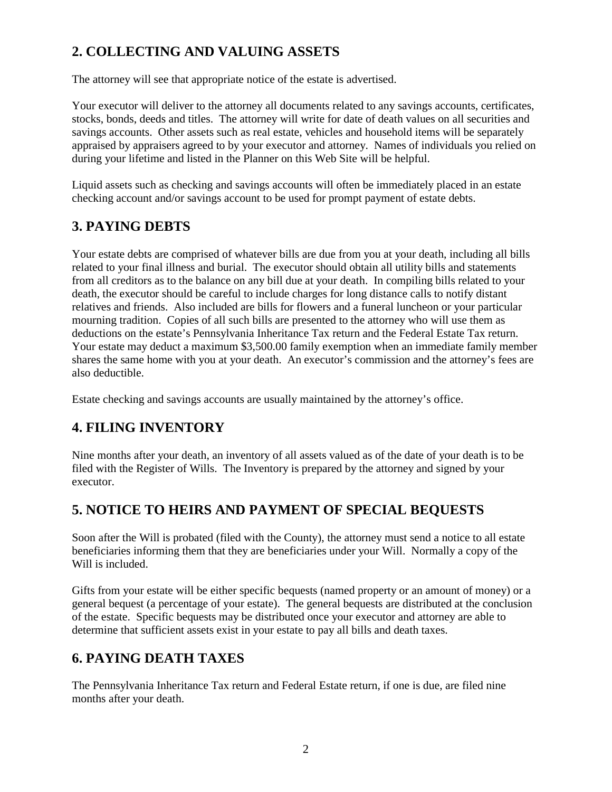# **2. COLLECTING AND VALUING ASSETS**

The attorney will see that appropriate notice of the estate is advertised.

Your executor will deliver to the attorney all documents related to any savings accounts, certificates, stocks, bonds, deeds and titles. The attorney will write for date of death values on all securities and savings accounts. Other assets such as real estate, vehicles and household items will be separately appraised by appraisers agreed to by your executor and attorney. Names of individuals you relied on during your lifetime and listed in the Planner on this Web Site will be helpful.

Liquid assets such as checking and savings accounts will often be immediately placed in an estate checking account and/or savings account to be used for prompt payment of estate debts.

## **3. PAYING DEBTS**

Your estate debts are comprised of whatever bills are due from you at your death, including all bills related to your final illness and burial. The executor should obtain all utility bills and statements from all creditors as to the balance on any bill due at your death. In compiling bills related to your death, the executor should be careful to include charges for long distance calls to notify distant relatives and friends. Also included are bills for flowers and a funeral luncheon or your particular mourning tradition. Copies of all such bills are presented to the attorney who will use them as deductions on the estate's Pennsylvania Inheritance Tax return and the Federal Estate Tax return. Your estate may deduct a maximum \$3,500.00 family exemption when an immediate family member shares the same home with you at your death. An executor's commission and the attorney's fees are also deductible.

Estate checking and savings accounts are usually maintained by the attorney's office.

# **4. FILING INVENTORY**

Nine months after your death, an inventory of all assets valued as of the date of your death is to be filed with the Register of Wills. The Inventory is prepared by the attorney and signed by your executor.

## **5. NOTICE TO HEIRS AND PAYMENT OF SPECIAL BEQUESTS**

Soon after the Will is probated (filed with the County), the attorney must send a notice to all estate beneficiaries informing them that they are beneficiaries under your Will. Normally a copy of the Will is included.

Gifts from your estate will be either specific bequests (named property or an amount of money) or a general bequest (a percentage of your estate). The general bequests are distributed at the conclusion of the estate. Specific bequests may be distributed once your executor and attorney are able to determine that sufficient assets exist in your estate to pay all bills and death taxes.

## **6. PAYING DEATH TAXES**

The Pennsylvania Inheritance Tax return and Federal Estate return, if one is due, are filed nine months after your death.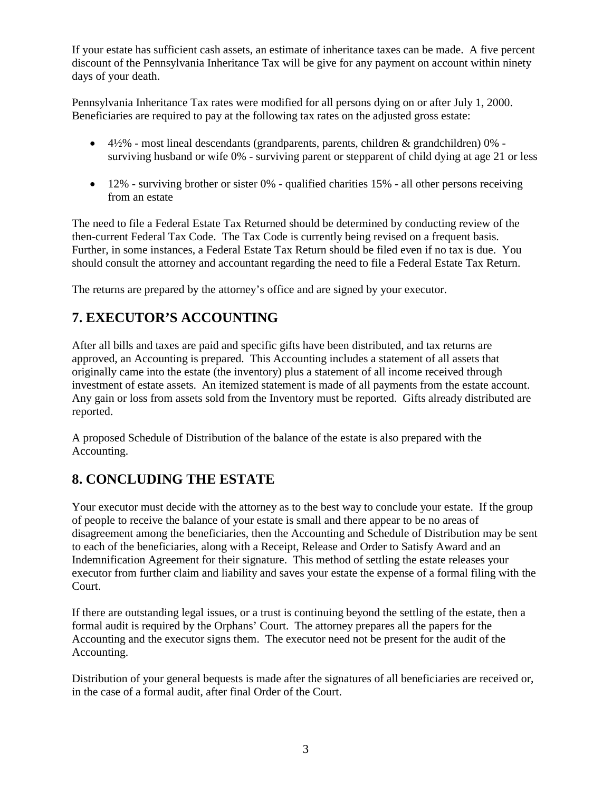If your estate has sufficient cash assets, an estimate of inheritance taxes can be made. A five percent discount of the Pennsylvania Inheritance Tax will be give for any payment on account within ninety days of your death.

Pennsylvania Inheritance Tax rates were modified for all persons dying on or after July 1, 2000. Beneficiaries are required to pay at the following tax rates on the adjusted gross estate:

- 4½% most lineal descendants (grandparents, parents, children & grandchildren) 0% surviving husband or wife 0% - surviving parent or stepparent of child dying at age 21 or less
- $\bullet$  12% surviving brother or sister 0% qualified charities 15% all other persons receiving from an estate

The need to file a Federal Estate Tax Returned should be determined by conducting review of the then-current Federal Tax Code. The Tax Code is currently being revised on a frequent basis. Further, in some instances, a Federal Estate Tax Return should be filed even if no tax is due. You should consult the attorney and accountant regarding the need to file a Federal Estate Tax Return.

The returns are prepared by the attorney's office and are signed by your executor.

#### **7. EXECUTOR'S ACCOUNTING**

After all bills and taxes are paid and specific gifts have been distributed, and tax returns are approved, an Accounting is prepared. This Accounting includes a statement of all assets that originally came into the estate (the inventory) plus a statement of all income received through investment of estate assets. An itemized statement is made of all payments from the estate account. Any gain or loss from assets sold from the Inventory must be reported. Gifts already distributed are reported.

A proposed Schedule of Distribution of the balance of the estate is also prepared with the Accounting.

#### **8. CONCLUDING THE ESTATE**

Your executor must decide with the attorney as to the best way to conclude your estate. If the group of people to receive the balance of your estate is small and there appear to be no areas of disagreement among the beneficiaries, then the Accounting and Schedule of Distribution may be sent to each of the beneficiaries, along with a Receipt, Release and Order to Satisfy Award and an Indemnification Agreement for their signature. This method of settling the estate releases your executor from further claim and liability and saves your estate the expense of a formal filing with the Court.

If there are outstanding legal issues, or a trust is continuing beyond the settling of the estate, then a formal audit is required by the Orphans' Court. The attorney prepares all the papers for the Accounting and the executor signs them. The executor need not be present for the audit of the Accounting.

Distribution of your general bequests is made after the signatures of all beneficiaries are received or, in the case of a formal audit, after final Order of the Court.